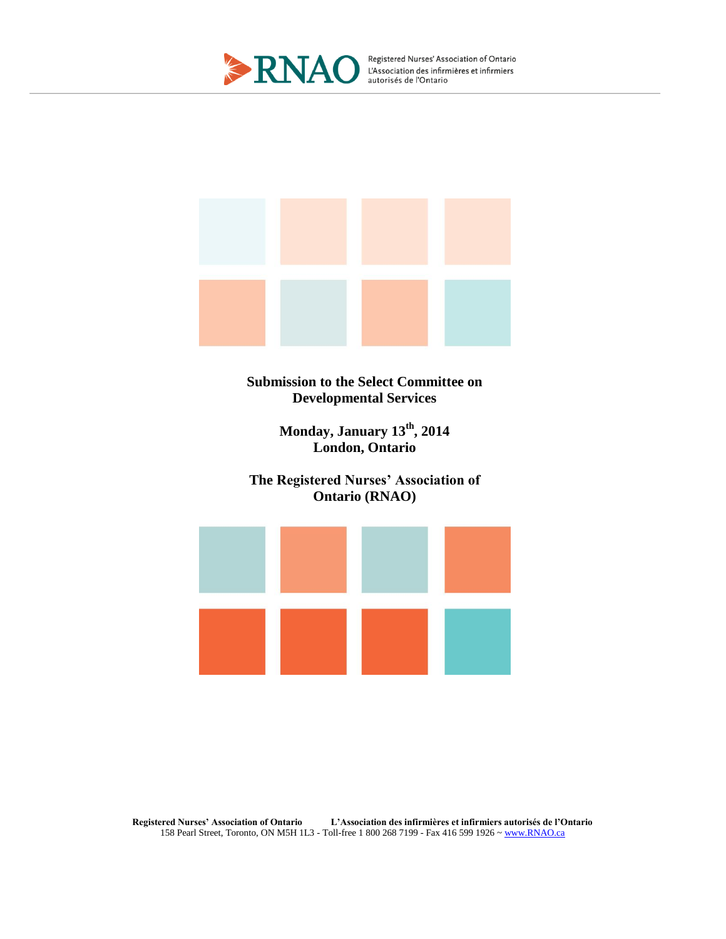

Registered Nurses' Association of Ontario<br>L'Association des infirmières et infirmiers<br>autorisés de l'Ontario



**Submission to the Select Committee on Developmental Services**

> **Monday, January 13th, 2014 London, Ontario**

**The Registered Nurses' Association of Ontario (RNAO)**



**Registered Nurses' Association of Ontario L'Association des infirmières et infirmiers autorisés de l'Ontario** 158 Pearl Street, Toronto, ON M5H 1L3 - Toll-free 1 800 268 7199 - Fax 416 599 1926 [~ www.RNAO.ca](http://www.rnao.ca/)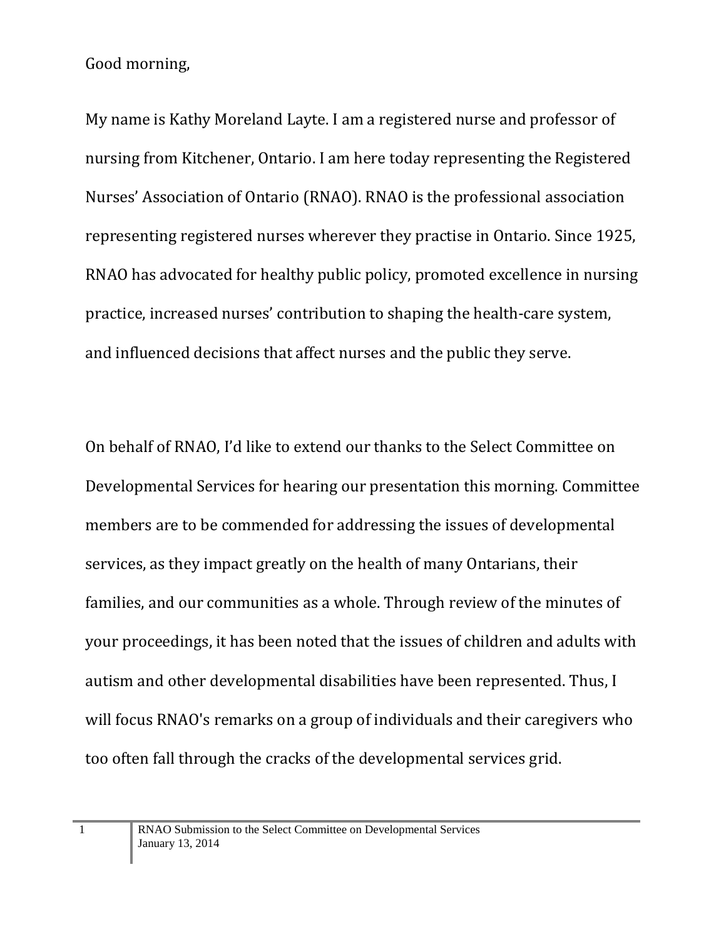Good morning,

My name is Kathy Moreland Layte. I am a registered nurse and professor of nursing from Kitchener, Ontario. I am here today representing the Registered Nurses' Association of Ontario (RNAO). RNAO is the professional association representing registered nurses wherever they practise in Ontario. Since 1925, RNAO has advocated for healthy public policy, promoted excellence in nursing practice, increased nurses' contribution to shaping the health-care system, and influenced decisions that affect nurses and the public they serve.

On behalf of RNAO, I'd like to extend our thanks to the Select Committee on Developmental Services for hearing our presentation this morning. Committee members are to be commended for addressing the issues of developmental services, as they impact greatly on the health of many Ontarians, their families, and our communities as a whole. Through review of the minutes of your proceedings, it has been noted that the issues of children and adults with autism and other developmental disabilities have been represented. Thus, I will focus RNAO's remarks on a group of individuals and their caregivers who too often fall through the cracks of the developmental services grid.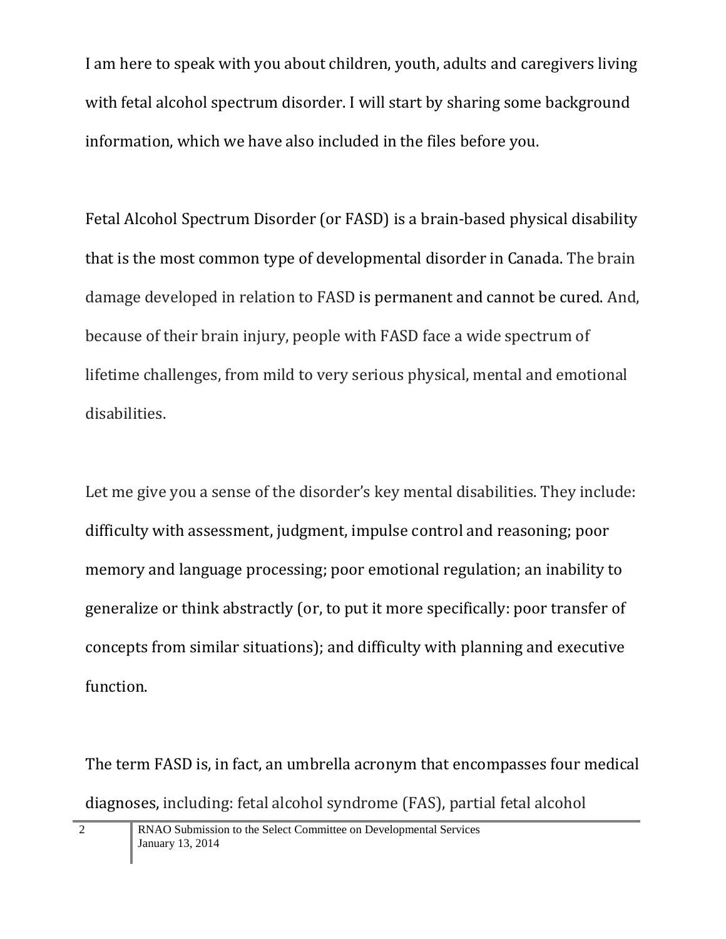I am here to speak with you about children, youth, adults and caregivers living with fetal alcohol spectrum disorder. I will start by sharing some background information, which we have also included in the files before you.

Fetal Alcohol Spectrum Disorder (or FASD) is a brain-based physical disability that is the most common type of developmental disorder in Canada. The brain damage developed in relation to FASD is permanent and cannot be cured. And, because of their brain injury, people with FASD face a wide spectrum of lifetime challenges, from mild to very serious physical, mental and emotional disabilities.

Let me give you a sense of the disorder's key mental disabilities. They include: difficulty with assessment, judgment, impulse control and reasoning; poor memory and language processing; poor emotional regulation; an inability to generalize or think abstractly (or, to put it more specifically: poor transfer of concepts from similar situations); and difficulty with planning and executive function.

The term FASD is, in fact, an umbrella acronym that encompasses four medical diagnoses, including: fetal alcohol syndrome (FAS), partial fetal alcohol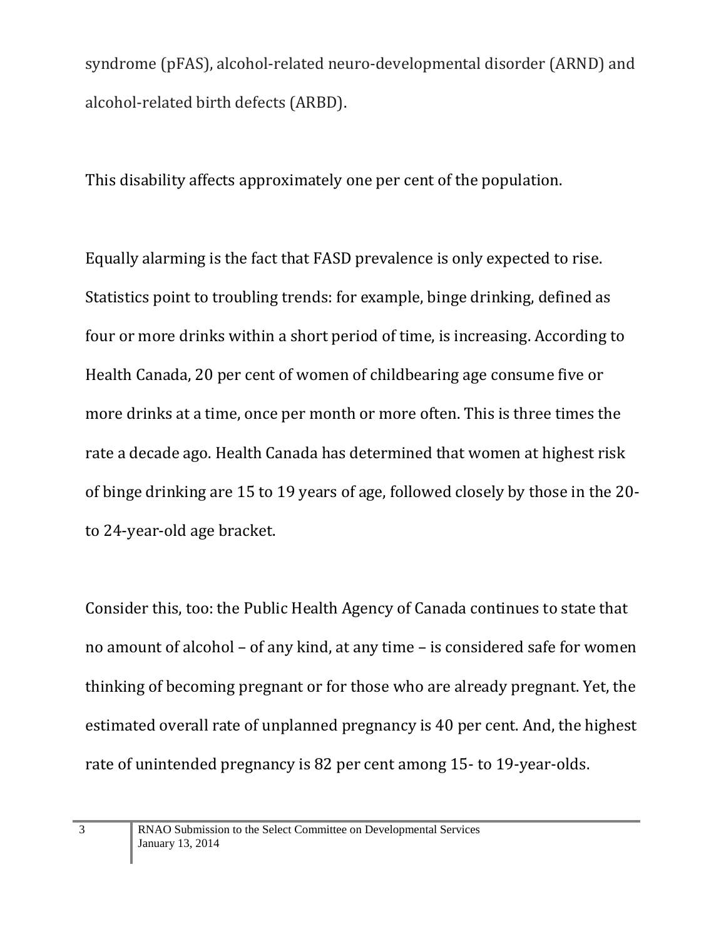syndrome (pFAS), alcohol-related neuro-developmental disorder (ARND) and alcohol-related birth defects (ARBD).

This disability affects approximately one per cent of the population.

Equally alarming is the fact that FASD prevalence is only expected to rise. Statistics point to troubling trends: for example, binge drinking, defined as four or more drinks within a short period of time, is increasing. According to Health Canada, 20 per cent of women of childbearing age consume five or more drinks at a time, once per month or more often. This is three times the rate a decade ago. Health Canada has determined that women at highest risk of binge drinking are 15 to 19 years of age, followed closely by those in the 20 to 24-year-old age bracket.

Consider this, too: the Public Health Agency of Canada continues to state that no amount of alcohol – of any kind, at any time – is considered safe for women thinking of becoming pregnant or for those who are already pregnant. Yet, the estimated overall rate of unplanned pregnancy is 40 per cent. And, the highest rate of unintended pregnancy is 82 per cent among 15- to 19-year-olds.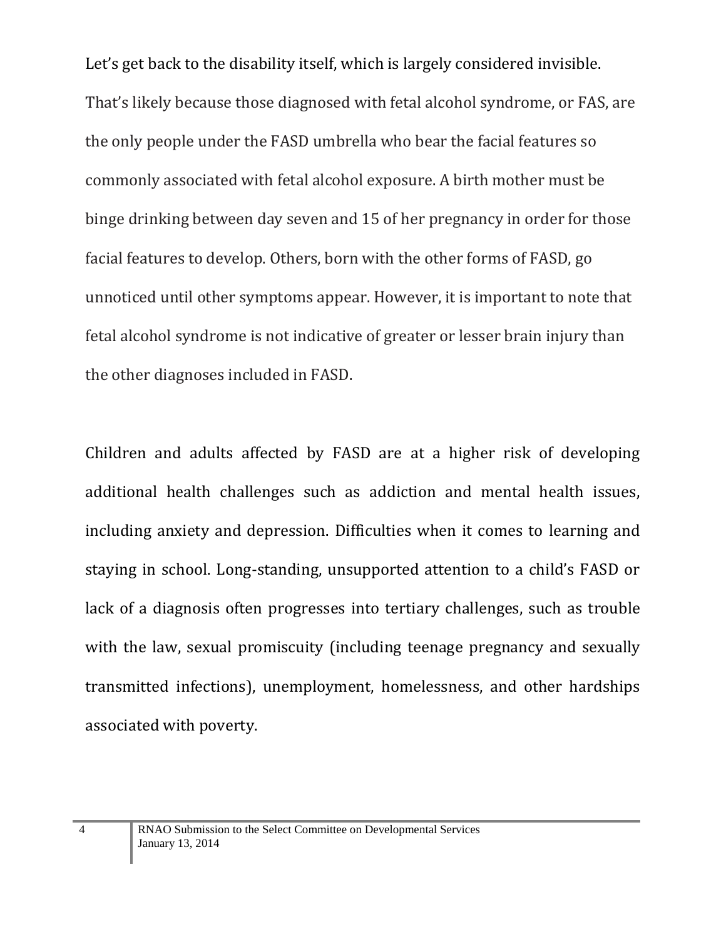Let's get back to the disability itself, which is largely considered invisible. That's likely because those diagnosed with fetal alcohol syndrome, or FAS, are the only people under the FASD umbrella who bear the facial features so commonly associated with fetal alcohol exposure. A birth mother must be binge drinking between day seven and 15 of her pregnancy in order for those facial features to develop. Others, born with the other forms of FASD, go unnoticed until other symptoms appear. However, it is important to note that fetal alcohol syndrome is not indicative of greater or lesser brain injury than the other diagnoses included in FASD.

Children and adults affected by FASD are at a higher risk of developing additional health challenges such as addiction and mental health issues, including anxiety and depression. Difficulties when it comes to learning and staying in school. Long-standing, unsupported attention to a child's FASD or lack of a diagnosis often progresses into tertiary challenges, such as trouble with the law, sexual promiscuity (including teenage pregnancy and sexually transmitted infections), unemployment, homelessness, and other hardships associated with poverty.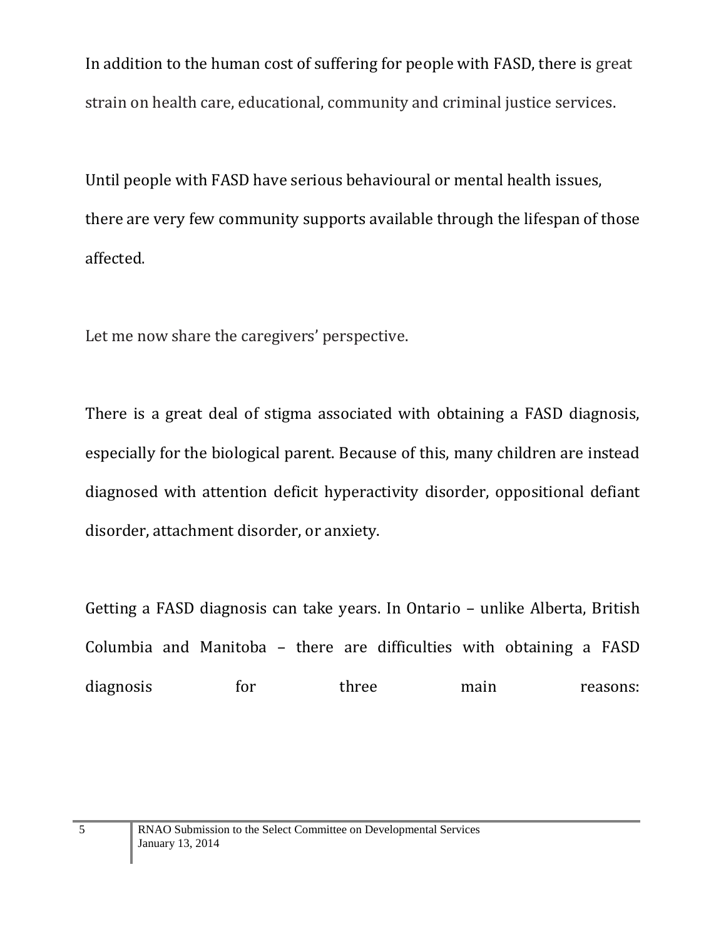In addition to the human cost of suffering for people with FASD, there is great strain on health care, educational, community and criminal justice services.

Until people with FASD have serious behavioural or mental health issues, there are very few community supports available through the lifespan of those affected.

Let me now share the caregivers' perspective.

There is a great deal of stigma associated with obtaining a FASD diagnosis, especially for the biological parent. Because of this, many children are instead diagnosed with attention deficit hyperactivity disorder, oppositional defiant disorder, attachment disorder, or anxiety.

Getting a FASD diagnosis can take years. In Ontario – unlike Alberta, British Columbia and Manitoba – there are difficulties with obtaining a FASD diagnosis for three main reasons: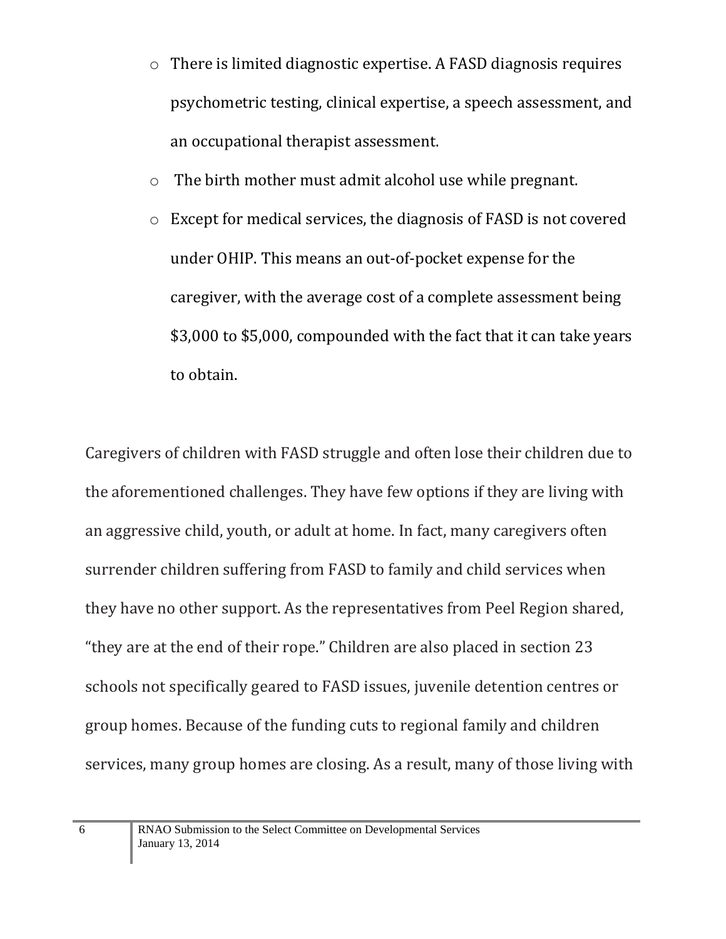- o There is limited diagnostic expertise. A FASD diagnosis requires psychometric testing, clinical expertise, a speech assessment, and an occupational therapist assessment.
- o The birth mother must admit alcohol use while pregnant.
- o Except for medical services, the diagnosis of FASD is not covered under OHIP. This means an out-of-pocket expense for the caregiver, with the average cost of a complete assessment being \$3,000 to \$5,000, compounded with the fact that it can take years to obtain.

Caregivers of children with FASD struggle and often lose their children due to the aforementioned challenges. They have few options if they are living with an aggressive child, youth, or adult at home. In fact, many caregivers often surrender children suffering from FASD to family and child services when they have no other support. As the representatives from Peel Region shared, "they are at the end of their rope." Children are also placed in section 23 schools not specifically geared to FASD issues, juvenile detention centres or group homes. Because of the funding cuts to regional family and children services, many group homes are closing. As a result, many of those living with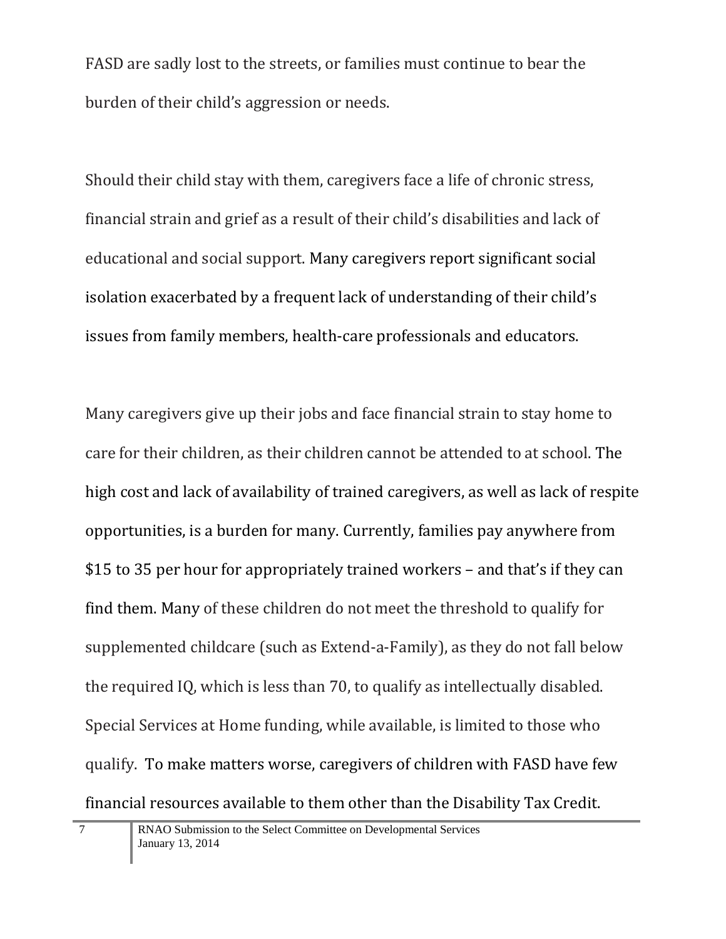FASD are sadly lost to the streets, or families must continue to bear the burden of their child's aggression or needs.

Should their child stay with them, caregivers face a life of chronic stress, financial strain and grief as a result of their child's disabilities and lack of educational and social support. Many caregivers report significant social isolation exacerbated by a frequent lack of understanding of their child's issues from family members, health-care professionals and educators.

Many caregivers give up their jobs and face financial strain to stay home to care for their children, as their children cannot be attended to at school. The high cost and lack of availability of trained caregivers, as well as lack of respite opportunities, is a burden for many. Currently, families pay anywhere from \$15 to 35 per hour for appropriately trained workers – and that's if they can find them. Many of these children do not meet the threshold to qualify for supplemented childcare (such as Extend-a-Family), as they do not fall below the required IQ, which is less than 70, to qualify as intellectually disabled. Special Services at Home funding, while available, is limited to those who qualify. To make matters worse, caregivers of children with FASD have few financial resources available to them other than the Disability Tax Credit.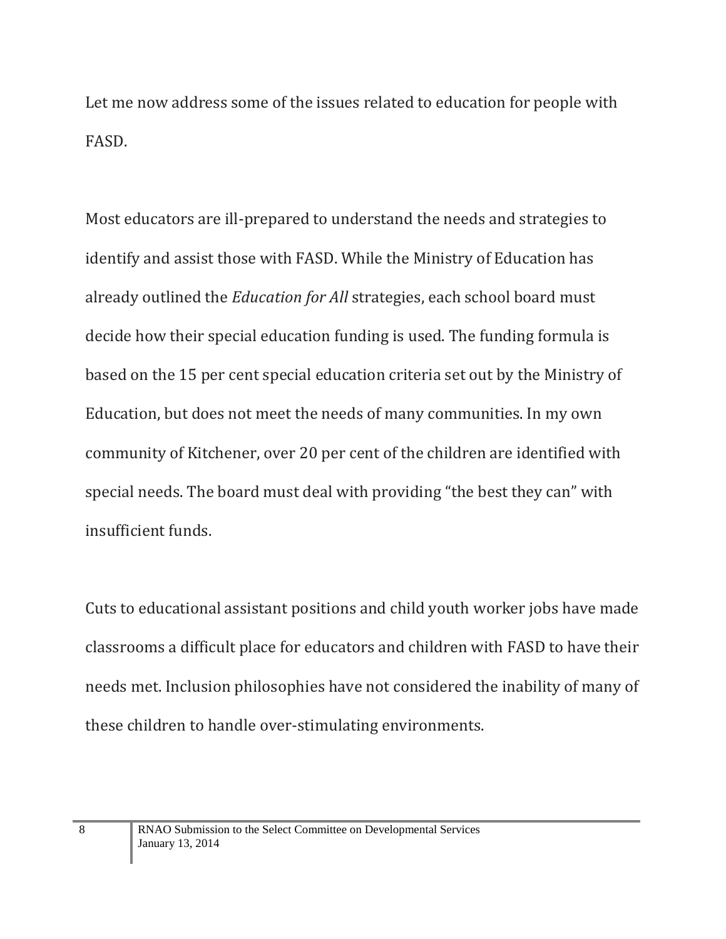Let me now address some of the issues related to education for people with FASD.

Most educators are ill-prepared to understand the needs and strategies to identify and assist those with FASD. While the Ministry of Education has already outlined the *Education for All* strategies, each school board must decide how their special education funding is used. The funding formula is based on the 15 per cent special education criteria set out by the Ministry of Education, but does not meet the needs of many communities. In my own community of Kitchener, over 20 per cent of the children are identified with special needs. The board must deal with providing "the best they can" with insufficient funds.

Cuts to educational assistant positions and child youth worker jobs have made classrooms a difficult place for educators and children with FASD to have their needs met. Inclusion philosophies have not considered the inability of many of these children to handle over-stimulating environments.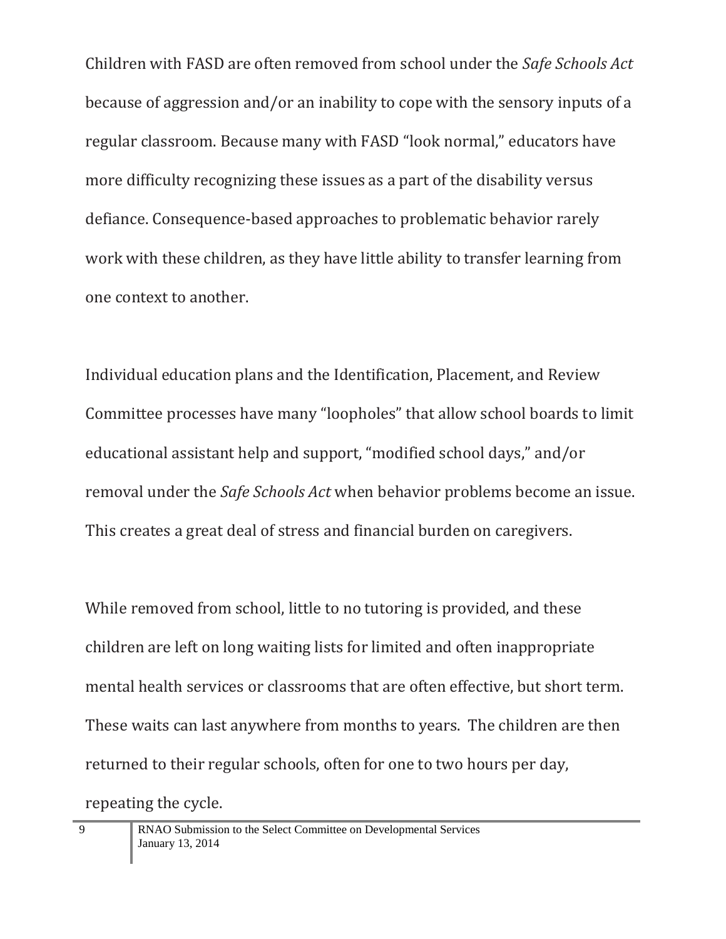Children with FASD are often removed from school under the *Safe Schools Act* because of aggression and/or an inability to cope with the sensory inputs of a regular classroom. Because many with FASD "look normal," educators have more difficulty recognizing these issues as a part of the disability versus defiance. Consequence-based approaches to problematic behavior rarely work with these children, as they have little ability to transfer learning from one context to another.

Individual education plans and the Identification, Placement, and Review Committee processes have many "loopholes" that allow school boards to limit educational assistant help and support, "modified school days," and/or removal under the *Safe Schools Act* when behavior problems become an issue. This creates a great deal of stress and financial burden on caregivers.

While removed from school, little to no tutoring is provided, and these children are left on long waiting lists for limited and often inappropriate mental health services or classrooms that are often effective, but short term. These waits can last anywhere from months to years. The children are then returned to their regular schools, often for one to two hours per day, repeating the cycle.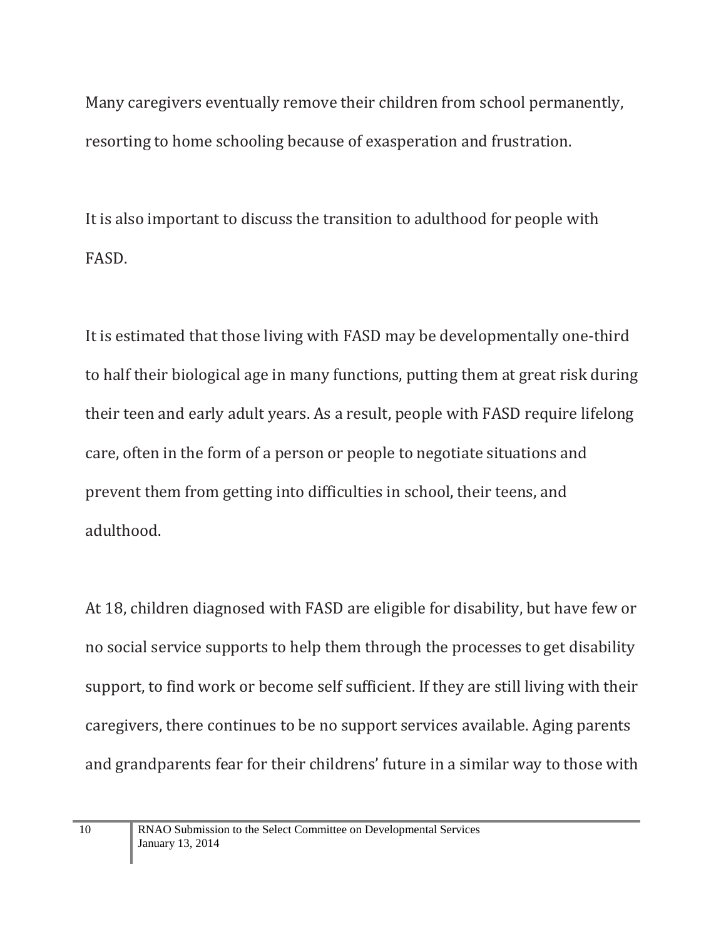Many caregivers eventually remove their children from school permanently, resorting to home schooling because of exasperation and frustration.

It is also important to discuss the transition to adulthood for people with FASD.

It is estimated that those living with FASD may be developmentally one-third to half their biological age in many functions, putting them at great risk during their teen and early adult years. As a result, people with FASD require lifelong care, often in the form of a person or people to negotiate situations and prevent them from getting into difficulties in school, their teens, and adulthood.

At 18, children diagnosed with FASD are eligible for disability, but have few or no social service supports to help them through the processes to get disability support, to find work or become self sufficient. If they are still living with their caregivers, there continues to be no support services available. Aging parents and grandparents fear for their childrens' future in a similar way to those with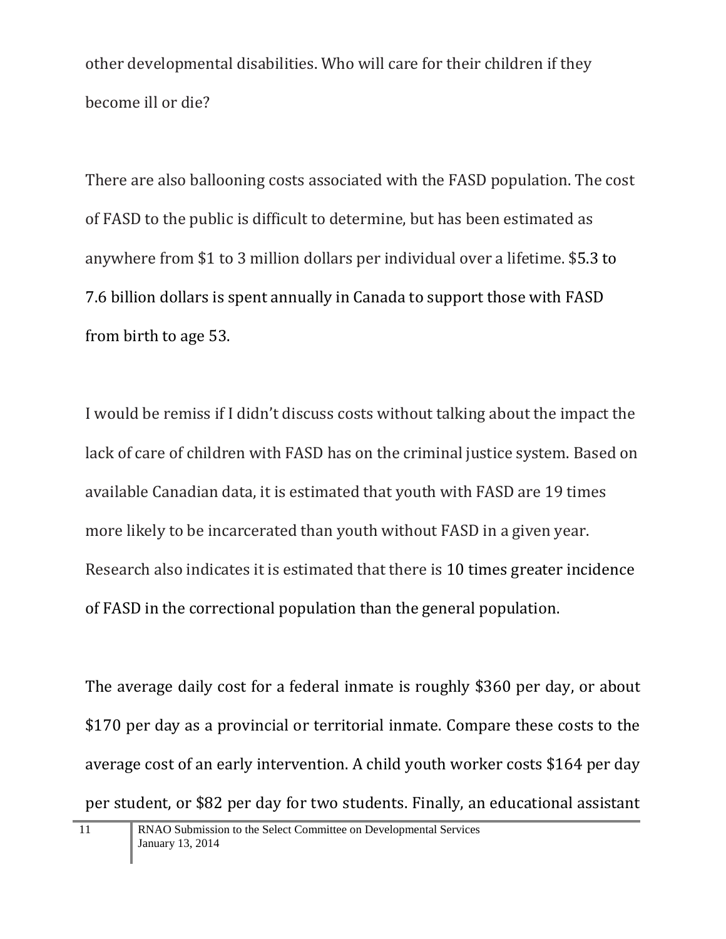other developmental disabilities. Who will care for their children if they become ill or die?

There are also ballooning costs associated with the FASD population. The cost of FASD to the public is difficult to determine, but has been estimated as anywhere from \$1 to 3 million dollars per individual over a lifetime. \$5.3 to 7.6 billion dollars is spent annually in Canada to support those with FASD from birth to age 53.

I would be remiss if I didn't discuss costs without talking about the impact the lack of care of children with FASD has on the criminal justice system. Based on available Canadian data, it is estimated that youth with FASD are 19 times more likely to be incarcerated than youth without FASD in a given year. Research also indicates it is estimated that there is 10 times greater incidence of FASD in the correctional population than the general population.

The average daily cost for a federal inmate is roughly \$360 per day, or about \$170 per day as a provincial or territorial inmate. Compare these costs to the average cost of an early intervention. A child youth worker costs \$164 per day per student, or \$82 per day for two students. Finally, an educational assistant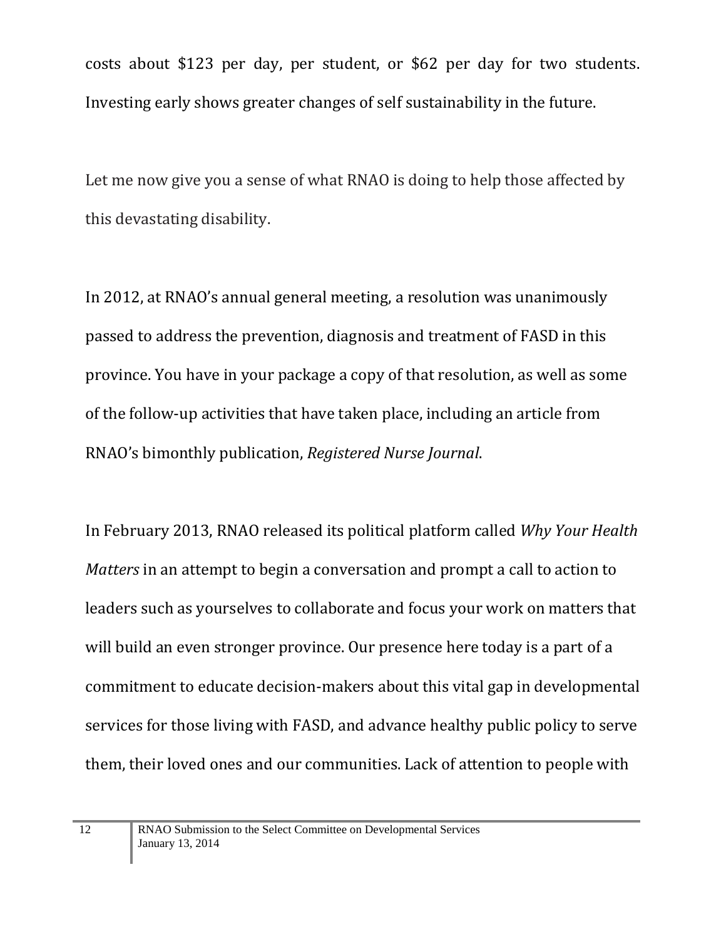costs about \$123 per day, per student, or \$62 per day for two students. Investing early shows greater changes of self sustainability in the future.

Let me now give you a sense of what RNAO is doing to help those affected by this devastating disability.

In 2012, at RNAO's annual general meeting, a resolution was unanimously passed to address the prevention, diagnosis and treatment of FASD in this province. You have in your package a copy of that resolution, as well as some of the follow-up activities that have taken place, including an article from RNAO's bimonthly publication, *Registered Nurse Journal*.

In February 2013, RNAO released its political platform called *Why Your Health Matters* in an attempt to begin a conversation and prompt a call to action to leaders such as yourselves to collaborate and focus your work on matters that will build an even stronger province. Our presence here today is a part of a commitment to educate decision-makers about this vital gap in developmental services for those living with FASD, and advance healthy public policy to serve them, their loved ones and our communities. Lack of attention to people with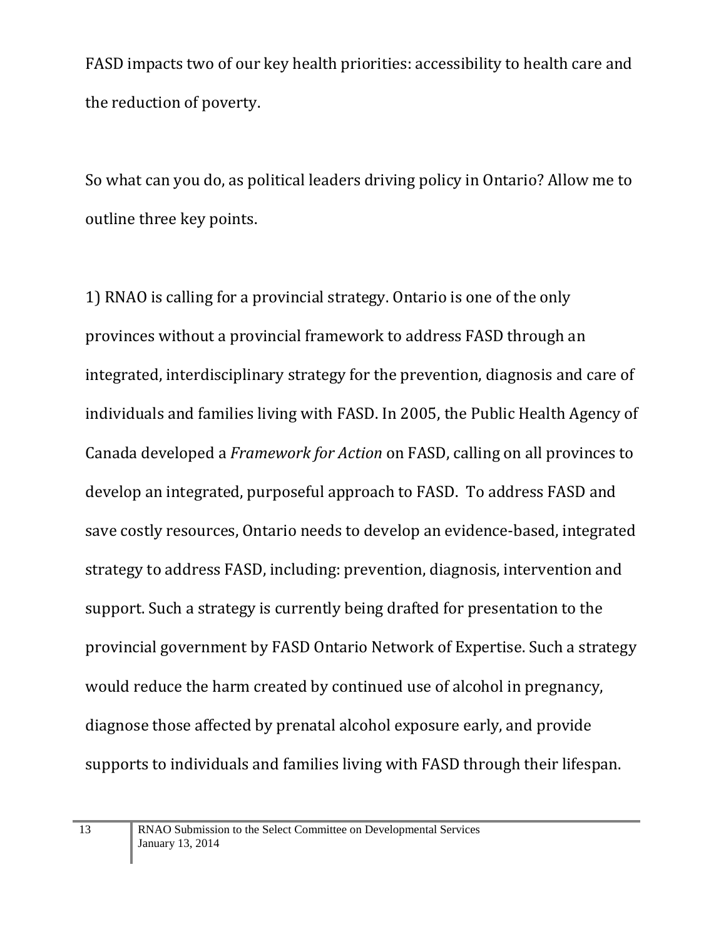FASD impacts two of our key health priorities: accessibility to health care and the reduction of poverty.

So what can you do, as political leaders driving policy in Ontario? Allow me to outline three key points.

1) RNAO is calling for a provincial strategy. Ontario is one of the only provinces without a provincial framework to address FASD through an integrated, interdisciplinary strategy for the prevention, diagnosis and care of individuals and families living with FASD. In 2005, the Public Health Agency of Canada developed a *Framework for Action* on FASD, calling on all provinces to develop an integrated, purposeful approach to FASD. To address FASD and save costly resources, Ontario needs to develop an evidence-based, integrated strategy to address FASD, including: prevention, diagnosis, intervention and support. Such a strategy is currently being drafted for presentation to the provincial government by FASD Ontario Network of Expertise. Such a strategy would reduce the harm created by continued use of alcohol in pregnancy, diagnose those affected by prenatal alcohol exposure early, and provide supports to individuals and families living with FASD through their lifespan.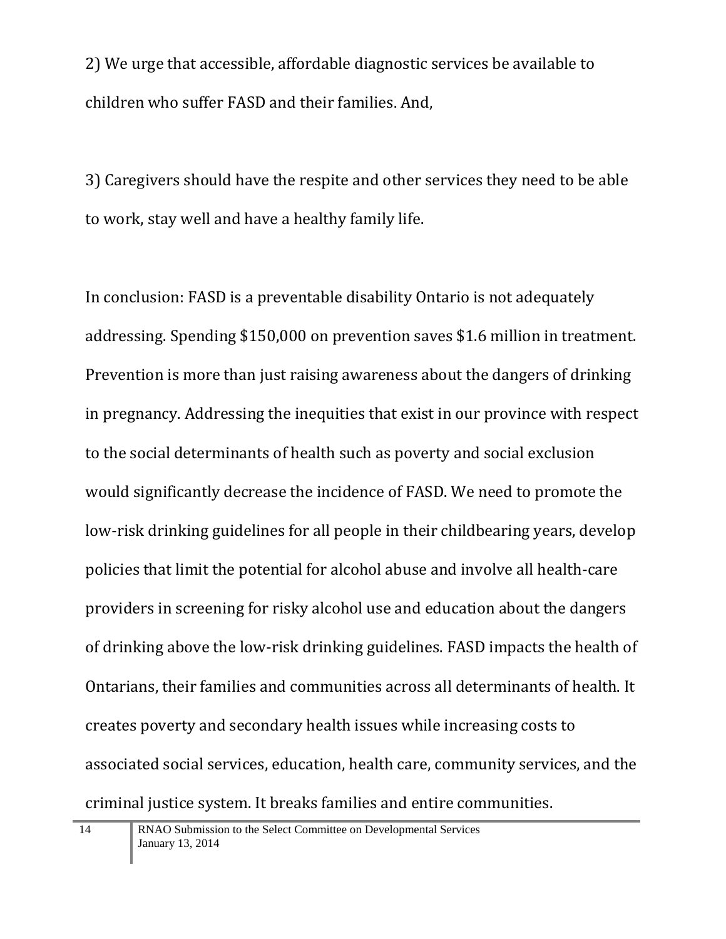2) We urge that accessible, affordable diagnostic services be available to children who suffer FASD and their families. And,

3) Caregivers should have the respite and other services they need to be able to work, stay well and have a healthy family life.

In conclusion: FASD is a preventable disability Ontario is not adequately addressing. Spending \$150,000 on prevention saves \$1.6 million in treatment. Prevention is more than just raising awareness about the dangers of drinking in pregnancy. Addressing the inequities that exist in our province with respect to the social determinants of health such as poverty and social exclusion would significantly decrease the incidence of FASD. We need to promote the low-risk drinking guidelines for all people in their childbearing years, develop policies that limit the potential for alcohol abuse and involve all health-care providers in screening for risky alcohol use and education about the dangers of drinking above the low-risk drinking guidelines. FASD impacts the health of Ontarians, their families and communities across all determinants of health. It creates poverty and secondary health issues while increasing costs to associated social services, education, health care, community services, and the criminal justice system. It breaks families and entire communities.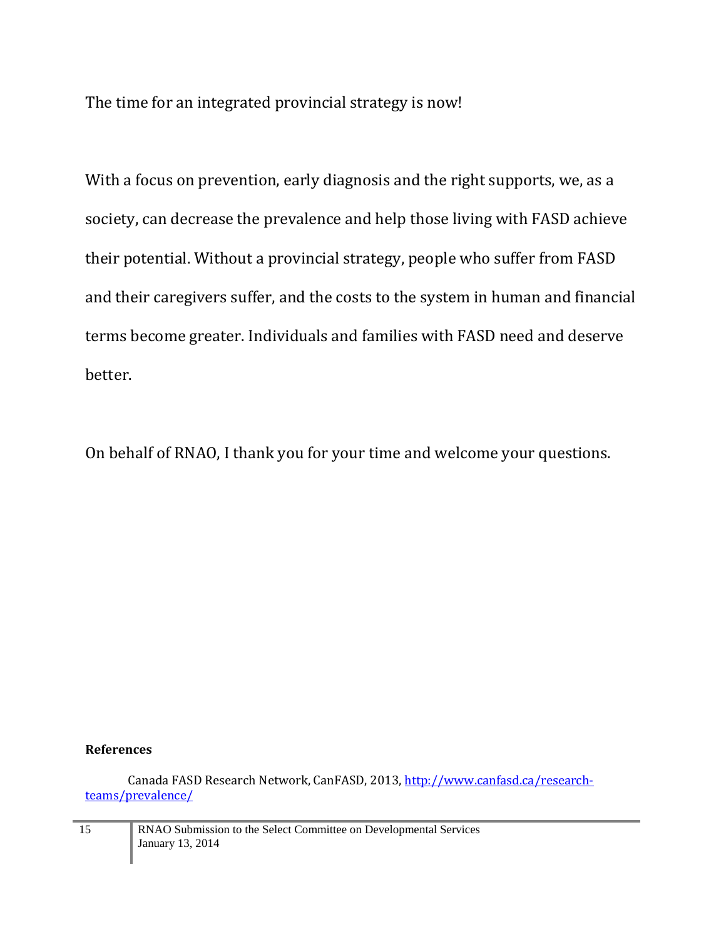The time for an integrated provincial strategy is now!

With a focus on prevention, early diagnosis and the right supports, we, as a society, can decrease the prevalence and help those living with FASD achieve their potential. Without a provincial strategy, people who suffer from FASD and their caregivers suffer, and the costs to the system in human and financial terms become greater. Individuals and families with FASD need and deserve better.

On behalf of RNAO, I thank you for your time and welcome your questions.

## **References**

Canada FASD Research Network, CanFASD, 2013[, http://www.canfasd.ca/research](http://www.canfasd.ca/research-teams/prevalence/)[teams/prevalence/](http://www.canfasd.ca/research-teams/prevalence/)

15 RNAO Submission to the Select Committee on Developmental Services January 13, 2014